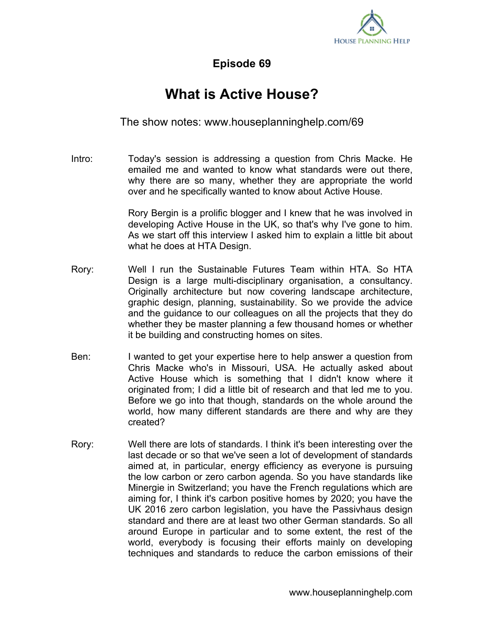

**Episode 69**

## **What is Active House?**

The show notes: www.houseplanninghelp.com/69

Intro: Today's session is addressing a question from Chris Macke. He emailed me and wanted to know what standards were out there, why there are so many, whether they are appropriate the world over and he specifically wanted to know about Active House.

> Rory Bergin is a prolific blogger and I knew that he was involved in developing Active House in the UK, so that's why I've gone to him. As we start off this interview I asked him to explain a little bit about what he does at HTA Design.

- Rory: Well I run the Sustainable Futures Team within HTA. So HTA Design is a large multi-disciplinary organisation, a consultancy. Originally architecture but now covering landscape architecture, graphic design, planning, sustainability. So we provide the advice and the guidance to our colleagues on all the projects that they do whether they be master planning a few thousand homes or whether it be building and constructing homes on sites.
- Ben: I wanted to get your expertise here to help answer a question from Chris Macke who's in Missouri, USA. He actually asked about Active House which is something that I didn't know where it originated from; I did a little bit of research and that led me to you. Before we go into that though, standards on the whole around the world, how many different standards are there and why are they created?
- Rory: Well there are lots of standards. I think it's been interesting over the last decade or so that we've seen a lot of development of standards aimed at, in particular, energy efficiency as everyone is pursuing the low carbon or zero carbon agenda. So you have standards like Minergie in Switzerland; you have the French regulations which are aiming for, I think it's carbon positive homes by 2020; you have the UK 2016 zero carbon legislation, you have the Passivhaus design standard and there are at least two other German standards. So all around Europe in particular and to some extent, the rest of the world, everybody is focusing their efforts mainly on developing techniques and standards to reduce the carbon emissions of their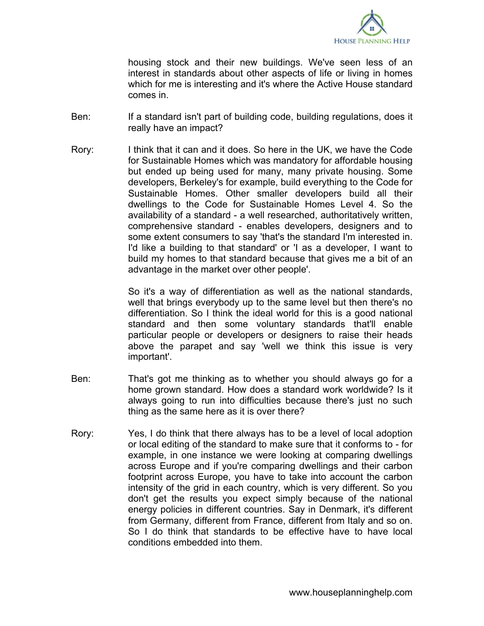

housing stock and their new buildings. We've seen less of an interest in standards about other aspects of life or living in homes which for me is interesting and it's where the Active House standard comes in.

- Ben: If a standard isn't part of building code, building regulations, does it really have an impact?
- Rory: I think that it can and it does. So here in the UK, we have the Code for Sustainable Homes which was mandatory for affordable housing but ended up being used for many, many private housing. Some developers, Berkeley's for example, build everything to the Code for Sustainable Homes. Other smaller developers build all their dwellings to the Code for Sustainable Homes Level 4. So the availability of a standard - a well researched, authoritatively written, comprehensive standard - enables developers, designers and to some extent consumers to say 'that's the standard I'm interested in. I'd like a building to that standard' or 'I as a developer, I want to build my homes to that standard because that gives me a bit of an advantage in the market over other people'.

So it's a way of differentiation as well as the national standards, well that brings everybody up to the same level but then there's no differentiation. So I think the ideal world for this is a good national standard and then some voluntary standards that'll enable particular people or developers or designers to raise their heads above the parapet and say 'well we think this issue is very important'.

- Ben: That's got me thinking as to whether you should always go for a home grown standard. How does a standard work worldwide? Is it always going to run into difficulties because there's just no such thing as the same here as it is over there?
- Rory: Yes, I do think that there always has to be a level of local adoption or local editing of the standard to make sure that it conforms to - for example, in one instance we were looking at comparing dwellings across Europe and if you're comparing dwellings and their carbon footprint across Europe, you have to take into account the carbon intensity of the grid in each country, which is very different. So you don't get the results you expect simply because of the national energy policies in different countries. Say in Denmark, it's different from Germany, different from France, different from Italy and so on. So I do think that standards to be effective have to have local conditions embedded into them.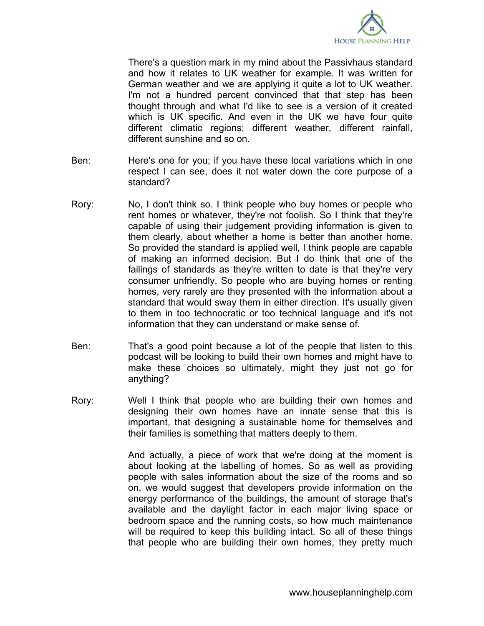

There's a question mark in my mind about the Passivhaus standard and how it relates to UK weather for example. It was written for German weather and we are applying it quite a lot to UK weather. I'm not a hundred percent convinced that that step has been thought through and what I'd like to see is a version of it created which is UK specific. And even in the UK we have four quite different climatic regions; different weather, different rainfall, different sunshine and so on.

- Ben: Here's one for you; if you have these local variations which in one respect I can see, does it not water down the core purpose of a standard?
- Rory: No, I don't think so. I think people who buy homes or people who rent homes or whatever, they're not foolish. So I think that they're capable of using their judgement providing information is given to them clearly, about whether a home is better than another home. So provided the standard is applied well, I think people are capable of making an informed decision. But I do think that one of the failings of standards as they're written to date is that they're very consumer unfriendly. So people who are buying homes or renting homes, very rarely are they presented with the information about a standard that would sway them in either direction. It's usually given to them in too technocratic or too technical language and it's not information that they can understand or make sense of.
- Ben: That's a good point because a lot of the people that listen to this podcast will be looking to build their own homes and might have to make these choices so ultimately, might they just not go for anything?
- Rory: Well I think that people who are building their own homes and designing their own homes have an innate sense that this is important, that designing a sustainable home for themselves and their families is something that matters deeply to them.

And actually, a piece of work that we're doing at the moment is about looking at the labelling of homes. So as well as providing people with sales information about the size of the rooms and so on, we would suggest that developers provide information on the energy performance of the buildings, the amount of storage that's available and the daylight factor in each major living space or bedroom space and the running costs, so how much maintenance will be required to keep this building intact. So all of these things that people who are building their own homes, they pretty much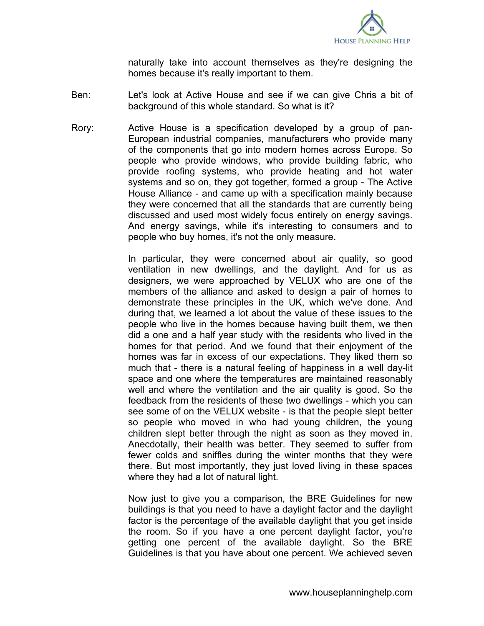

naturally take into account themselves as they're designing the homes because it's really important to them.

- Ben: Let's look at Active House and see if we can give Chris a bit of background of this whole standard. So what is it?
- Rory: Active House is a specification developed by a group of pan-European industrial companies, manufacturers who provide many of the components that go into modern homes across Europe. So people who provide windows, who provide building fabric, who provide roofing systems, who provide heating and hot water systems and so on, they got together, formed a group - The Active House Alliance - and came up with a specification mainly because they were concerned that all the standards that are currently being discussed and used most widely focus entirely on energy savings. And energy savings, while it's interesting to consumers and to people who buy homes, it's not the only measure.

In particular, they were concerned about air quality, so good ventilation in new dwellings, and the daylight. And for us as designers, we were approached by VELUX who are one of the members of the alliance and asked to design a pair of homes to demonstrate these principles in the UK, which we've done. And during that, we learned a lot about the value of these issues to the people who live in the homes because having built them, we then did a one and a half year study with the residents who lived in the homes for that period. And we found that their enjoyment of the homes was far in excess of our expectations. They liked them so much that - there is a natural feeling of happiness in a well day-lit space and one where the temperatures are maintained reasonably well and where the ventilation and the air quality is good. So the feedback from the residents of these two dwellings - which you can see some of on the VELUX website - is that the people slept better so people who moved in who had young children, the young children slept better through the night as soon as they moved in. Anecdotally, their health was better. They seemed to suffer from fewer colds and sniffles during the winter months that they were there. But most importantly, they just loved living in these spaces where they had a lot of natural light.

Now just to give you a comparison, the BRE Guidelines for new buildings is that you need to have a daylight factor and the daylight factor is the percentage of the available daylight that you get inside the room. So if you have a one percent daylight factor, you're getting one percent of the available daylight. So the BRE Guidelines is that you have about one percent. We achieved seven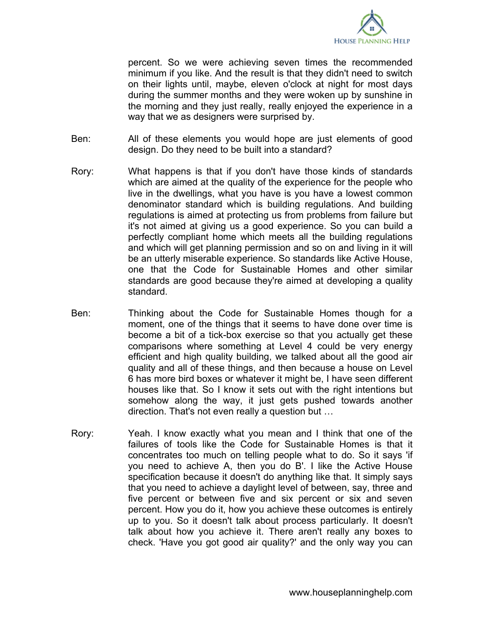

percent. So we were achieving seven times the recommended minimum if you like. And the result is that they didn't need to switch on their lights until, maybe, eleven o'clock at night for most days during the summer months and they were woken up by sunshine in the morning and they just really, really enjoyed the experience in a way that we as designers were surprised by.

- Ben: All of these elements you would hope are just elements of good design. Do they need to be built into a standard?
- Rory: What happens is that if you don't have those kinds of standards which are aimed at the quality of the experience for the people who live in the dwellings, what you have is you have a lowest common denominator standard which is building regulations. And building regulations is aimed at protecting us from problems from failure but it's not aimed at giving us a good experience. So you can build a perfectly compliant home which meets all the building regulations and which will get planning permission and so on and living in it will be an utterly miserable experience. So standards like Active House, one that the Code for Sustainable Homes and other similar standards are good because they're aimed at developing a quality standard.
- Ben: Thinking about the Code for Sustainable Homes though for a moment, one of the things that it seems to have done over time is become a bit of a tick-box exercise so that you actually get these comparisons where something at Level 4 could be very energy efficient and high quality building, we talked about all the good air quality and all of these things, and then because a house on Level 6 has more bird boxes or whatever it might be, I have seen different houses like that. So I know it sets out with the right intentions but somehow along the way, it just gets pushed towards another direction. That's not even really a question but …
- Rory: Yeah. I know exactly what you mean and I think that one of the failures of tools like the Code for Sustainable Homes is that it concentrates too much on telling people what to do. So it says 'if you need to achieve A, then you do B'. I like the Active House specification because it doesn't do anything like that. It simply says that you need to achieve a daylight level of between, say, three and five percent or between five and six percent or six and seven percent. How you do it, how you achieve these outcomes is entirely up to you. So it doesn't talk about process particularly. It doesn't talk about how you achieve it. There aren't really any boxes to check. 'Have you got good air quality?' and the only way you can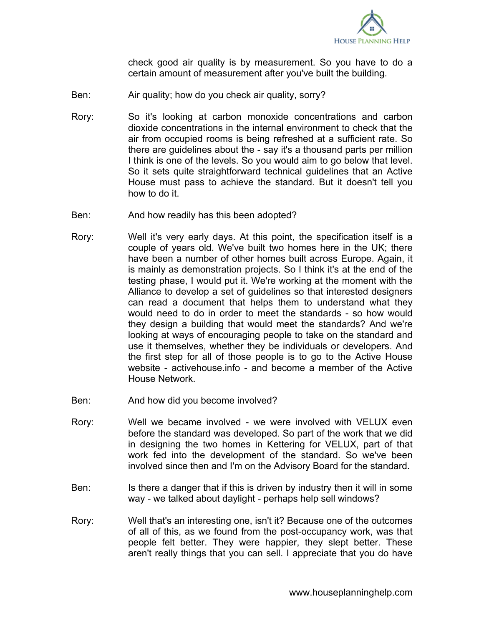

check good air quality is by measurement. So you have to do a certain amount of measurement after you've built the building.

- Ben: Air quality; how do you check air quality, sorry?
- Rory: So it's looking at carbon monoxide concentrations and carbon dioxide concentrations in the internal environment to check that the air from occupied rooms is being refreshed at a sufficient rate. So there are guidelines about the - say it's a thousand parts per million I think is one of the levels. So you would aim to go below that level. So it sets quite straightforward technical guidelines that an Active House must pass to achieve the standard. But it doesn't tell you how to do it.
- Ben: And how readily has this been adopted?
- Rory: Well it's very early days. At this point, the specification itself is a couple of years old. We've built two homes here in the UK; there have been a number of other homes built across Europe. Again, it is mainly as demonstration projects. So I think it's at the end of the testing phase, I would put it. We're working at the moment with the Alliance to develop a set of guidelines so that interested designers can read a document that helps them to understand what they would need to do in order to meet the standards - so how would they design a building that would meet the standards? And we're looking at ways of encouraging people to take on the standard and use it themselves, whether they be individuals or developers. And the first step for all of those people is to go to the Active House website - activehouse.info - and become a member of the Active House Network.
- Ben: And how did you become involved?
- Rory: Well we became involved we were involved with VELUX even before the standard was developed. So part of the work that we did in designing the two homes in Kettering for VELUX, part of that work fed into the development of the standard. So we've been involved since then and I'm on the Advisory Board for the standard.
- Ben: Is there a danger that if this is driven by industry then it will in some way - we talked about daylight - perhaps help sell windows?
- Rory: Well that's an interesting one, isn't it? Because one of the outcomes of all of this, as we found from the post-occupancy work, was that people felt better. They were happier, they slept better. These aren't really things that you can sell. I appreciate that you do have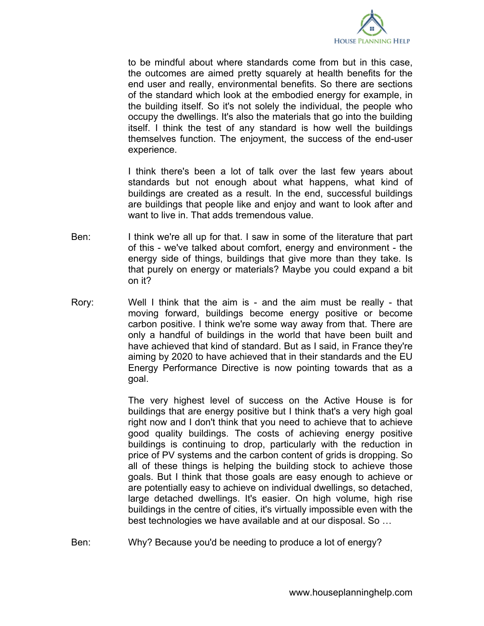

to be mindful about where standards come from but in this case, the outcomes are aimed pretty squarely at health benefits for the end user and really, environmental benefits. So there are sections of the standard which look at the embodied energy for example, in the building itself. So it's not solely the individual, the people who occupy the dwellings. It's also the materials that go into the building itself. I think the test of any standard is how well the buildings themselves function. The enjoyment, the success of the end-user experience.

I think there's been a lot of talk over the last few years about standards but not enough about what happens, what kind of buildings are created as a result. In the end, successful buildings are buildings that people like and enjoy and want to look after and want to live in. That adds tremendous value.

- Ben: I think we're all up for that. I saw in some of the literature that part of this - we've talked about comfort, energy and environment - the energy side of things, buildings that give more than they take. Is that purely on energy or materials? Maybe you could expand a bit on it?
- Rory: Well I think that the aim is and the aim must be really that moving forward, buildings become energy positive or become carbon positive. I think we're some way away from that. There are only a handful of buildings in the world that have been built and have achieved that kind of standard. But as I said, in France they're aiming by 2020 to have achieved that in their standards and the EU Energy Performance Directive is now pointing towards that as a goal.

The very highest level of success on the Active House is for buildings that are energy positive but I think that's a very high goal right now and I don't think that you need to achieve that to achieve good quality buildings. The costs of achieving energy positive buildings is continuing to drop, particularly with the reduction in price of PV systems and the carbon content of grids is dropping. So all of these things is helping the building stock to achieve those goals. But I think that those goals are easy enough to achieve or are potentially easy to achieve on individual dwellings, so detached, large detached dwellings. It's easier. On high volume, high rise buildings in the centre of cities, it's virtually impossible even with the best technologies we have available and at our disposal. So …

Ben: Why? Because you'd be needing to produce a lot of energy?